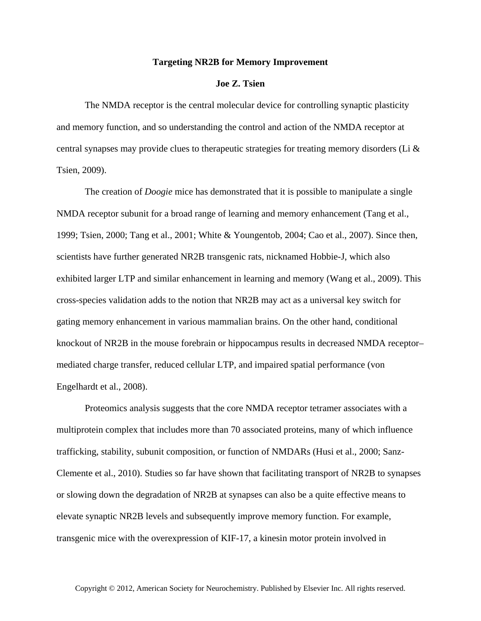## **Targeting NR2B for Memory Improvement**

## **Joe Z. Tsien**

The NMDA receptor is the central molecular device for controlling synaptic plasticity and memory function, and so understanding the control and action of the NMDA receptor at central synapses may provide clues to the appeutic strategies for treating memory disorders (Li  $\&$ Tsien, 2009).

The creation of *Doogie* mice has demonstrated that it is possible to manipulate a single NMDA receptor subunit for a broad range of learning and memory enhancement (Tang et al., 1999; Tsien, 2000; Tang et al., 2001; White & Youngentob, 2004; Cao et al., 2007). Since then, scientists have further generated NR2B transgenic rats, nicknamed Hobbie-J, which also exhibited larger LTP and similar enhancement in learning and memory (Wang et al., 2009). This cross-species validation adds to the notion that NR2B may act as a universal key switch for gating memory enhancement in various mammalian brains. On the other hand, conditional knockout of NR2B in the mouse forebrain or hippocampus results in decreased NMDA receptor– mediated charge transfer, reduced cellular LTP, and impaired spatial performance (von Engelhardt et al., 2008).

Proteomics analysis suggests that the core NMDA receptor tetramer associates with a multiprotein complex that includes more than 70 associated proteins, many of which influence trafficking, stability, subunit composition, or function of NMDARs (Husi et al., 2000; Sanz-Clemente et al., 2010). Studies so far have shown that facilitating transport of NR2B to synapses or slowing down the degradation of NR2B at synapses can also be a quite effective means to elevate synaptic NR2B levels and subsequently improve memory function. For example, transgenic mice with the overexpression of KIF-17, a kinesin motor protein involved in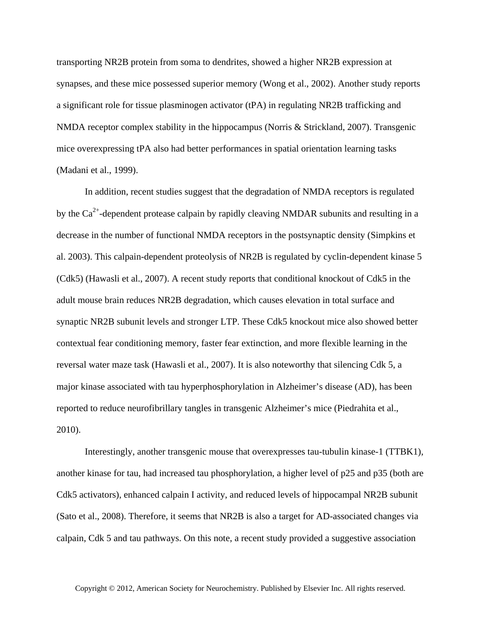transporting NR2B protein from soma to dendrites, showed a higher NR2B expression at synapses, and these mice possessed superior memory (Wong et al., 2002). Another study reports a significant role for tissue plasminogen activator (tPA) in regulating NR2B trafficking and NMDA receptor complex stability in the hippocampus (Norris & Strickland, 2007). Transgenic mice overexpressing tPA also had better performances in spatial orientation learning tasks (Madani et al., 1999).

In addition, recent studies suggest that the degradation of NMDA receptors is regulated by the  $Ca^{2+}$ -dependent protease calpain by rapidly cleaving NMDAR subunits and resulting in a decrease in the number of functional NMDA receptors in the postsynaptic density (Simpkins et al. 2003). This calpain-dependent proteolysis of NR2B is regulated by cyclin-dependent kinase 5 (Cdk5) (Hawasli et al., 2007). A recent study reports that conditional knockout of Cdk5 in the adult mouse brain reduces NR2B degradation, which causes elevation in total surface and synaptic NR2B subunit levels and stronger LTP. These Cdk5 knockout mice also showed better contextual fear conditioning memory, faster fear extinction, and more flexible learning in the reversal water maze task (Hawasli et al., 2007). It is also noteworthy that silencing Cdk 5, a major kinase associated with tau hyperphosphorylation in Alzheimer's disease (AD), has been reported to reduce neurofibrillary tangles in transgenic Alzheimer's mice (Piedrahita et al., 2010).

Interestingly, another transgenic mouse that overexpresses tau-tubulin kinase-1 (TTBK1), another kinase for tau, had increased tau phosphorylation, a higher level of p25 and p35 (both are Cdk5 activators), enhanced calpain I activity, and reduced levels of hippocampal NR2B subunit (Sato et al., 2008). Therefore, it seems that NR2B is also a target for AD-associated changes via calpain, Cdk 5 and tau pathways. On this note, a recent study provided a suggestive association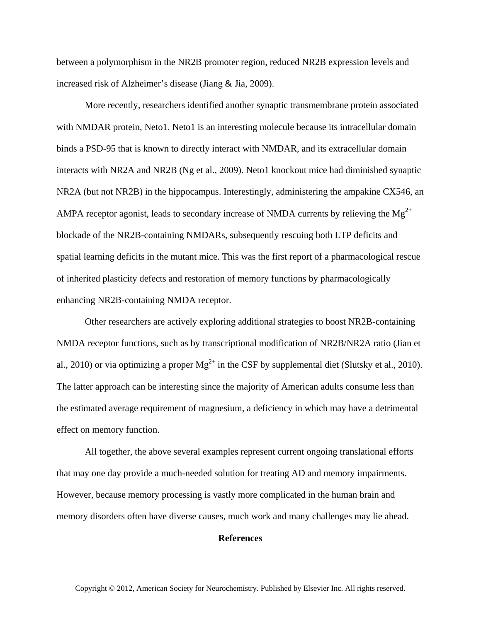between a polymorphism in the NR2B promoter region, reduced NR2B expression levels and increased risk of Alzheimer's disease (Jiang & Jia, 2009).

More recently, researchers identified another synaptic transmembrane protein associated with NMDAR protein, Neto1. Neto1 is an interesting molecule because its intracellular domain binds a PSD-95 that is known to directly interact with NMDAR, and its extracellular domain interacts with NR2A and NR2B (Ng et al., 2009). Neto1 knockout mice had diminished synaptic NR2A (but not NR2B) in the hippocampus. Interestingly, administering the ampakine CX546, an AMPA receptor agonist, leads to secondary increase of NMDA currents by relieving the  $Mg^{2+}$ blockade of the NR2B-containing NMDARs, subsequently rescuing both LTP deficits and spatial learning deficits in the mutant mice. This was the first report of a pharmacological rescue of inherited plasticity defects and restoration of memory functions by pharmacologically enhancing NR2B-containing NMDA receptor.

Other researchers are actively exploring additional strategies to boost NR2B-containing NMDA receptor functions, such as by transcriptional modification of NR2B/NR2A ratio (Jian et al., 2010) or via optimizing a proper  $Mg^{2+}$  in the CSF by supplemental diet (Slutsky et al., 2010). The latter approach can be interesting since the majority of American adults consume less than the estimated average requirement of magnesium, a deficiency in which may have a detrimental effect on memory function.

All together, the above several examples represent current ongoing translational efforts that may one day provide a much-needed solution for treating AD and memory impairments. However, because memory processing is vastly more complicated in the human brain and memory disorders often have diverse causes, much work and many challenges may lie ahead.

## **References**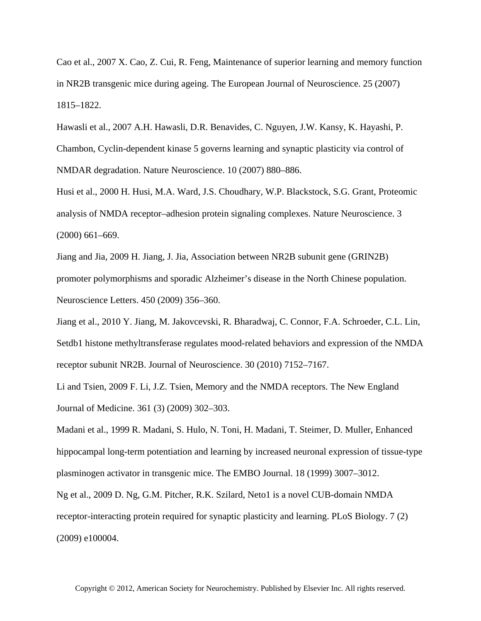Cao et al., 2007 X. Cao, Z. Cui, R. Feng, Maintenance of superior learning and memory function in NR2B transgenic mice during ageing. The European Journal of Neuroscience. 25 (2007) 1815–1822.

Hawasli et al., 2007 A.H. Hawasli, D.R. Benavides, C. Nguyen, J.W. Kansy, K. Hayashi, P. Chambon, Cyclin-dependent kinase 5 governs learning and synaptic plasticity via control of NMDAR degradation. Nature Neuroscience. 10 (2007) 880–886.

Husi et al., 2000 H. Husi, M.A. Ward, J.S. Choudhary, W.P. Blackstock, S.G. Grant, Proteomic analysis of NMDA receptor–adhesion protein signaling complexes. Nature Neuroscience. 3 (2000) 661–669.

Jiang and Jia, 2009 H. Jiang, J. Jia, Association between NR2B subunit gene (GRIN2B) promoter polymorphisms and sporadic Alzheimer's disease in the North Chinese population. Neuroscience Letters. 450 (2009) 356–360.

Jiang et al., 2010 Y. Jiang, M. Jakovcevski, R. Bharadwaj, C. Connor, F.A. Schroeder, C.L. Lin, Setdb1 histone methyltransferase regulates mood-related behaviors and expression of the NMDA receptor subunit NR2B. Journal of Neuroscience. 30 (2010) 7152–7167.

Li and Tsien, 2009 F. Li, J.Z. Tsien, Memory and the NMDA receptors. The New England Journal of Medicine. 361 (3) (2009) 302–303.

Madani et al., 1999 R. Madani, S. Hulo, N. Toni, H. Madani, T. Steimer, D. Muller, Enhanced hippocampal long-term potentiation and learning by increased neuronal expression of tissue-type plasminogen activator in transgenic mice. The EMBO Journal. 18 (1999) 3007–3012.

Ng et al., 2009 D. Ng, G.M. Pitcher, R.K. Szilard, Neto1 is a novel CUB-domain NMDA receptor-interacting protein required for synaptic plasticity and learning. PLoS Biology. 7 (2) (2009) e100004.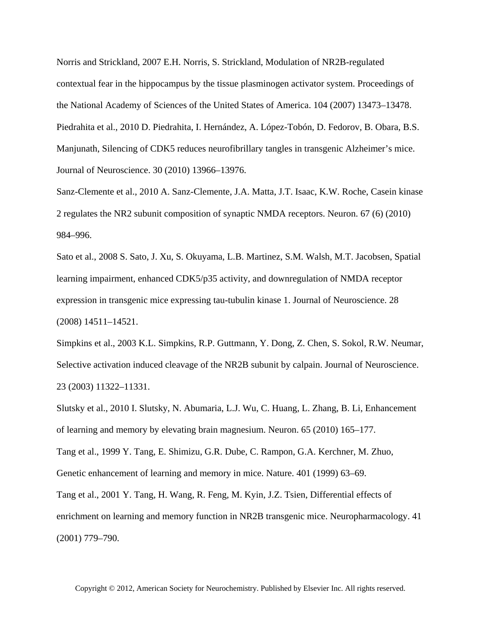Norris and Strickland, 2007 E.H. Norris, S. Strickland, Modulation of NR2B-regulated contextual fear in the hippocampus by the tissue plasminogen activator system. Proceedings of the National Academy of Sciences of the United States of America. 104 (2007) 13473–13478. Piedrahita et al., 2010 D. Piedrahita, I. Hernández, A. López-Tobón, D. Fedorov, B. Obara, B.S. Manjunath, Silencing of CDK5 reduces neurofibrillary tangles in transgenic Alzheimer's mice. Journal of Neuroscience. 30 (2010) 13966–13976.

Sanz-Clemente et al., 2010 A. Sanz-Clemente, J.A. Matta, J.T. Isaac, K.W. Roche, Casein kinase 2 regulates the NR2 subunit composition of synaptic NMDA receptors. Neuron. 67 (6) (2010) 984–996.

Sato et al., 2008 S. Sato, J. Xu, S. Okuyama, L.B. Martinez, S.M. Walsh, M.T. Jacobsen, Spatial learning impairment, enhanced CDK5/p35 activity, and downregulation of NMDA receptor expression in transgenic mice expressing tau-tubulin kinase 1. Journal of Neuroscience. 28 (2008) 14511–14521.

Simpkins et al., 2003 K.L. Simpkins, R.P. Guttmann, Y. Dong, Z. Chen, S. Sokol, R.W. Neumar, Selective activation induced cleavage of the NR2B subunit by calpain. Journal of Neuroscience. 23 (2003) 11322–11331.

Slutsky et al., 2010 I. Slutsky, N. Abumaria, L.J. Wu, C. Huang, L. Zhang, B. Li, Enhancement of learning and memory by elevating brain magnesium. Neuron. 65 (2010) 165–177.

Tang et al., 1999 Y. Tang, E. Shimizu, G.R. Dube, C. Rampon, G.A. Kerchner, M. Zhuo, Genetic enhancement of learning and memory in mice. Nature. 401 (1999) 63–69.

Tang et al., 2001 Y. Tang, H. Wang, R. Feng, M. Kyin, J.Z. Tsien, Differential effects of enrichment on learning and memory function in NR2B transgenic mice. Neuropharmacology. 41 (2001) 779–790.